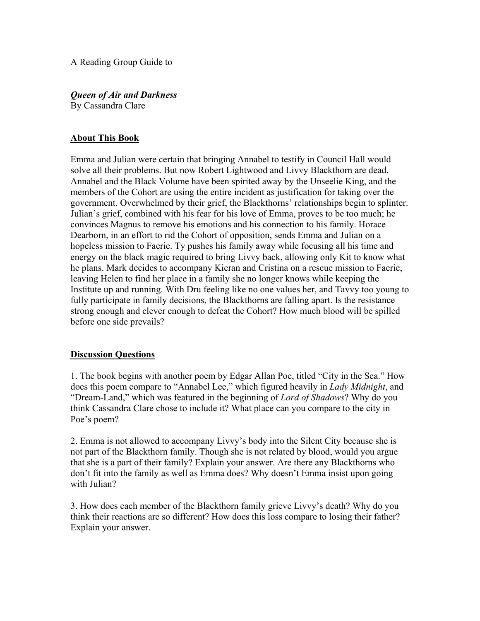A Reading Group Guide to

*Queen of Air and Darkness*  By Cassandra Clare

## **About This Book**

Emma and Julian were certain that bringing Annabel to testify in Council Hall would solve all their problems. But now Robert Lightwood and Livvy Blackthorn are dead, Annabel and the Black Volume have been spirited away by the Unseelie King, and the members of the Cohort are using the entire incident as justification for taking over the government. Overwhelmed by their grief, the Blackthorns' relationships begin to splinter. Julian's grief, combined with his fear for his love of Emma, proves to be too much; he convinces Magnus to remove his emotions and his connection to his family. Horace Dearborn, in an effort to rid the Cohort of opposition, sends Emma and Julian on a hopeless mission to Faerie. Ty pushes his family away while focusing all his time and energy on the black magic required to bring Livvy back, allowing only Kit to know what he plans. Mark decides to accompany Kieran and Cristina on a rescue mission to Faerie, leaving Helen to find her place in a family she no longer knows while keeping the Institute up and running. With Dru feeling like no one values her, and Tavvy too young to fully participate in family decisions, the Blackthorns are falling apart. Is the resistance strong enough and clever enough to defeat the Cohort? How much blood will be spilled before one side prevails?

## **Discussion Questions**

1. The book begins with another poem by Edgar Allan Poe, titled "City in the Sea." How does this poem compare to "Annabel Lee," which figured heavily in *Lady Midnight*, and "Dream-Land," which was featured in the beginning of *Lord of Shadows*? Why do you think Cassandra Clare chose to include it? What place can you compare to the city in Poe's poem?

2. Emma is not allowed to accompany Livvy's body into the Silent City because she is not part of the Blackthorn family. Though she is not related by blood, would you argue that she is a part of their family? Explain your answer. Are there any Blackthorns who don't fit into the family as well as Emma does? Why doesn't Emma insist upon going with Julian?

3. How does each member of the Blackthorn family grieve Livvy's death? Why do you think their reactions are so different? How does this loss compare to losing their father? Explain your answer.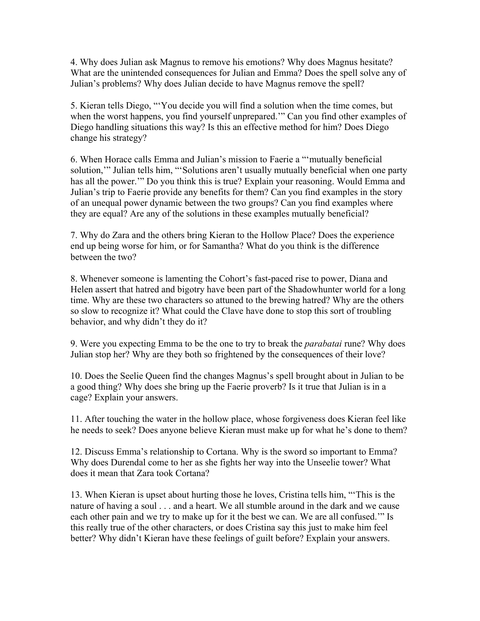4. Why does Julian ask Magnus to remove his emotions? Why does Magnus hesitate? What are the unintended consequences for Julian and Emma? Does the spell solve any of Julian's problems? Why does Julian decide to have Magnus remove the spell?

5. Kieran tells Diego, "'You decide you will find a solution when the time comes, but when the worst happens, you find yourself unprepared.'" Can you find other examples of Diego handling situations this way? Is this an effective method for him? Does Diego change his strategy?

6. When Horace calls Emma and Julian's mission to Faerie a "'mutually beneficial solution,'" Julian tells him, "'Solutions aren't usually mutually beneficial when one party has all the power.'" Do you think this is true? Explain your reasoning. Would Emma and Julian's trip to Faerie provide any benefits for them? Can you find examples in the story of an unequal power dynamic between the two groups? Can you find examples where they are equal? Are any of the solutions in these examples mutually beneficial?

7. Why do Zara and the others bring Kieran to the Hollow Place? Does the experience end up being worse for him, or for Samantha? What do you think is the difference between the two?

8. Whenever someone is lamenting the Cohort's fast-paced rise to power, Diana and Helen assert that hatred and bigotry have been part of the Shadowhunter world for a long time. Why are these two characters so attuned to the brewing hatred? Why are the others so slow to recognize it? What could the Clave have done to stop this sort of troubling behavior, and why didn't they do it?

9. Were you expecting Emma to be the one to try to break the *parabatai* rune? Why does Julian stop her? Why are they both so frightened by the consequences of their love?

10. Does the Seelie Queen find the changes Magnus's spell brought about in Julian to be a good thing? Why does she bring up the Faerie proverb? Is it true that Julian is in a cage? Explain your answers.

11. After touching the water in the hollow place, whose forgiveness does Kieran feel like he needs to seek? Does anyone believe Kieran must make up for what he's done to them?

12. Discuss Emma's relationship to Cortana. Why is the sword so important to Emma? Why does Durendal come to her as she fights her way into the Unseelie tower? What does it mean that Zara took Cortana?

13. When Kieran is upset about hurting those he loves, Cristina tells him, "'This is the nature of having a soul . . . and a heart. We all stumble around in the dark and we cause each other pain and we try to make up for it the best we can. We are all confused.'" Is this really true of the other characters, or does Cristina say this just to make him feel better? Why didn't Kieran have these feelings of guilt before? Explain your answers.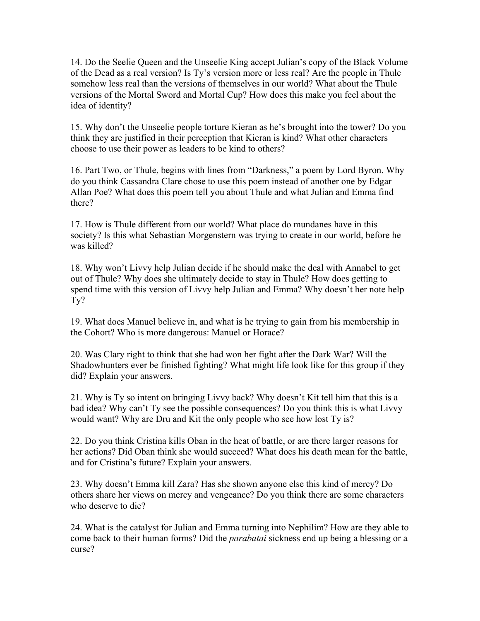14. Do the Seelie Queen and the Unseelie King accept Julian's copy of the Black Volume of the Dead as a real version? Is Ty's version more or less real? Are the people in Thule somehow less real than the versions of themselves in our world? What about the Thule versions of the Mortal Sword and Mortal Cup? How does this make you feel about the idea of identity?

15. Why don't the Unseelie people torture Kieran as he's brought into the tower? Do you think they are justified in their perception that Kieran is kind? What other characters choose to use their power as leaders to be kind to others?

16. Part Two, or Thule, begins with lines from "Darkness," a poem by Lord Byron. Why do you think Cassandra Clare chose to use this poem instead of another one by Edgar Allan Poe? What does this poem tell you about Thule and what Julian and Emma find there?

17. How is Thule different from our world? What place do mundanes have in this society? Is this what Sebastian Morgenstern was trying to create in our world, before he was killed?

18. Why won't Livvy help Julian decide if he should make the deal with Annabel to get out of Thule? Why does she ultimately decide to stay in Thule? How does getting to spend time with this version of Livvy help Julian and Emma? Why doesn't her note help Ty?

19. What does Manuel believe in, and what is he trying to gain from his membership in the Cohort? Who is more dangerous: Manuel or Horace?

20. Was Clary right to think that she had won her fight after the Dark War? Will the Shadowhunters ever be finished fighting? What might life look like for this group if they did? Explain your answers.

21. Why is Ty so intent on bringing Livvy back? Why doesn't Kit tell him that this is a bad idea? Why can't Ty see the possible consequences? Do you think this is what Livvy would want? Why are Dru and Kit the only people who see how lost Ty is?

22. Do you think Cristina kills Oban in the heat of battle, or are there larger reasons for her actions? Did Oban think she would succeed? What does his death mean for the battle, and for Cristina's future? Explain your answers.

23. Why doesn't Emma kill Zara? Has she shown anyone else this kind of mercy? Do others share her views on mercy and vengeance? Do you think there are some characters who deserve to die?

24. What is the catalyst for Julian and Emma turning into Nephilim? How are they able to come back to their human forms? Did the *parabatai* sickness end up being a blessing or a curse?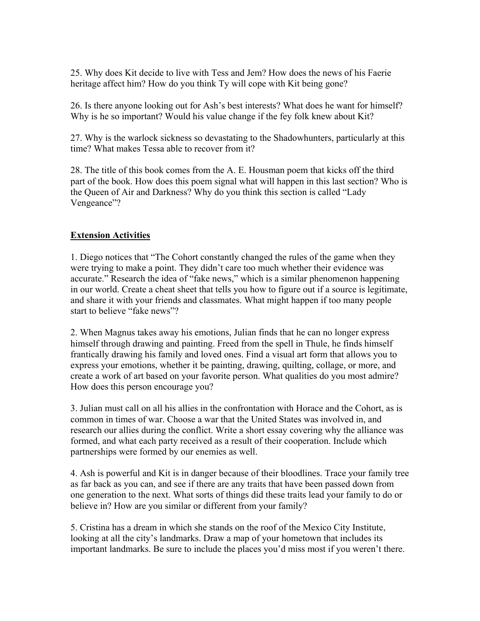25. Why does Kit decide to live with Tess and Jem? How does the news of his Faerie heritage affect him? How do you think Ty will cope with Kit being gone?

26. Is there anyone looking out for Ash's best interests? What does he want for himself? Why is he so important? Would his value change if the fey folk knew about Kit?

27. Why is the warlock sickness so devastating to the Shadowhunters, particularly at this time? What makes Tessa able to recover from it?

28. The title of this book comes from the A. E. Housman poem that kicks off the third part of the book. How does this poem signal what will happen in this last section? Who is the Queen of Air and Darkness? Why do you think this section is called "Lady Vengeance"?

## **Extension Activities**

1. Diego notices that "The Cohort constantly changed the rules of the game when they were trying to make a point. They didn't care too much whether their evidence was accurate." Research the idea of "fake news," which is a similar phenomenon happening in our world. Create a cheat sheet that tells you how to figure out if a source is legitimate, and share it with your friends and classmates. What might happen if too many people start to believe "fake news"?

2. When Magnus takes away his emotions, Julian finds that he can no longer express himself through drawing and painting. Freed from the spell in Thule, he finds himself frantically drawing his family and loved ones. Find a visual art form that allows you to express your emotions, whether it be painting, drawing, quilting, collage, or more, and create a work of art based on your favorite person. What qualities do you most admire? How does this person encourage you?

3. Julian must call on all his allies in the confrontation with Horace and the Cohort, as is common in times of war. Choose a war that the United States was involved in, and research our allies during the conflict. Write a short essay covering why the alliance was formed, and what each party received as a result of their cooperation. Include which partnerships were formed by our enemies as well.

4. Ash is powerful and Kit is in danger because of their bloodlines. Trace your family tree as far back as you can, and see if there are any traits that have been passed down from one generation to the next. What sorts of things did these traits lead your family to do or believe in? How are you similar or different from your family?

5. Cristina has a dream in which she stands on the roof of the Mexico City Institute, looking at all the city's landmarks. Draw a map of your hometown that includes its important landmarks. Be sure to include the places you'd miss most if you weren't there.